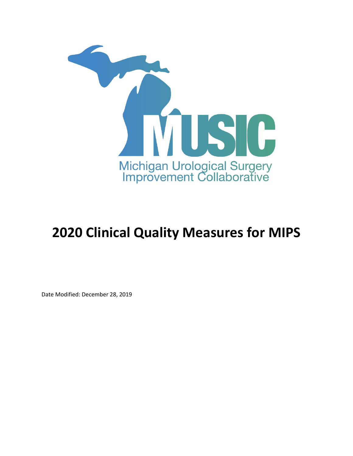

## **2020 Clinical Quality Measures for MIPS**

Date Modified: December 28, 2019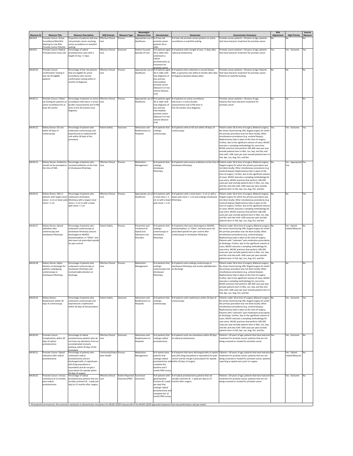| <b>Measure ID</b> | <b>Measure Title</b>                                                                                                  | <b>Measure Description</b>                                                                                                                                                                                                     | <b>NOS Domain</b>                       | <b>Measure Type</b>                          | Meaningful<br><b>Measure Area</b>                                          | Denominator                                                                                                                                                                       | Numerator                                                                                                                                                                         | <b>Denominator Exclusions</b>                                                                                                                                                                                                                                                                                                                                                                                                                                                                                                                                                                                                                                                    | Risk<br><b>Adjustment</b> | <b>High Priority</b>             | Inverse<br><b>Measure</b> |
|-------------------|-----------------------------------------------------------------------------------------------------------------------|--------------------------------------------------------------------------------------------------------------------------------------------------------------------------------------------------------------------------------|-----------------------------------------|----------------------------------------------|----------------------------------------------------------------------------|-----------------------------------------------------------------------------------------------------------------------------------------------------------------------------------|-----------------------------------------------------------------------------------------------------------------------------------------------------------------------------------|----------------------------------------------------------------------------------------------------------------------------------------------------------------------------------------------------------------------------------------------------------------------------------------------------------------------------------------------------------------------------------------------------------------------------------------------------------------------------------------------------------------------------------------------------------------------------------------------------------------------------------------------------------------------------------|---------------------------|----------------------------------|---------------------------|
| MUSIC4            | Prostate Cancer: Active<br>Surveillance/Watchful<br>Waiting for Low Risk<br>Prostate Cancer Patients                  | Proportion of patients with low-<br>risk prostate cancer receiving<br>active surveillance or watchful<br>waiting                                                                                                               | <b>Effective Clinical</b><br>Care       | rocess                                       | Appropriate use of # of low-risk<br>Healthcare                             | prostate cancer<br>patients 30 or<br>older                                                                                                                                        | of low-risk prostate cancer patients on active<br>surveillance or watchful waiting                                                                                                | Prostate cancer patients < 30 years of age; patients<br>that have had prior treatment for prostate cancer                                                                                                                                                                                                                                                                                                                                                                                                                                                                                                                                                                        | No                        |                                  |                           |
| <b>MUSIC5</b>     | Prostate Cancer: Radical<br>Prostatectomy Cases LOS                                                                   | Percentage of radical<br>prostatectomy cases with a<br>ength of stay > 2 days                                                                                                                                                  | <b>Effective Clinical</b><br>Care       | Outcome                                      | Patient-Focused<br>Episode of Care                                         | # of patients aged<br>30 or older who<br>underwent a<br>radical<br>prostatectomy as<br>treatment for<br>rostate cance                                                             | # of patients with a length of stay > 2 days after<br>radical prostatectomy                                                                                                       | Prostate cancer patients < 30 years of age: patients<br>that have had prior treatment for prostate cancer                                                                                                                                                                                                                                                                                                                                                                                                                                                                                                                                                                        | Yes                       | Yes - Outcome                    | Yes                       |
| MUSIC10           | Prostate Cancer:<br>Confirmation Testing in<br>low risk AS eligible<br>patients                                       | Percentage of low risk patients<br>that are eligible for active<br>surveillance who receive<br>confirmation testing within 6<br>months of diagnosis                                                                            | <b>Effective Clinical</b><br>Care       | Process                                      | Healthcare                                                                 | Appropriate use of # of patients aged<br>30 or older with<br>new diagnosis of<br>low and low-<br>intermediate<br>prostate cancer<br>(Gleason 6 or low<br>volume Gleason<br>$3+4)$ | # of patients that underwent a second biopsy.<br>MRI, or genomics test within 6 months after date<br>of diagnosis (positive biopsy date)                                          | Prostate cancer patients < 30 years of age; Patients<br>that have had prior treatment for prostate cancer;<br>Patients on watchful waiting                                                                                                                                                                                                                                                                                                                                                                                                                                                                                                                                       | No                        | No                               | No                        |
| MUSIC11           | rostate Cancer: Follow<br>Up Testing for patients on<br>active surveillance for at<br>east 30 months                  | ercentage of patients on active Effective Clinical<br>surveillance that have ≥ 2 tumor Care<br>burden reassessments and 3 PSA<br>tests in first 30 months since<br>diagnosis                                                   |                                         | Process                                      | Healthcare                                                                 | Appropriate use of # of patients aged<br>30 or older with<br>new diagnosis of<br>low and low-<br>intermediate<br>prostate cancer<br>(Gleason 6 or low<br>volume Gleason<br>$3+4)$ | of patients on active surveillance<br>that have $\geq 2$ tumor burden<br>reassessments and 3 PSA tests in<br>first 30 months since diagnosis                                      | Prostate cancer patients < 30 years of age;<br>Patients that have had prior treatment for<br>prostate cancer                                                                                                                                                                                                                                                                                                                                                                                                                                                                                                                                                                     |                           |                                  |                           |
| MUSIC12           | Kidney Stones: ED visit<br>within 30 days of<br>ureteroscopy                                                          | Percentage of patients who<br>underwent ureteroscopy and<br>experienced an unplanned ED<br>visit within 30 days of the<br>procedure                                                                                            | <b>Patient Safety</b>                   | Outcome                                      | Admissions and<br>Readmissions to<br>Hospitals                             | # of patients that<br>undergo<br>ureteroscopy                                                                                                                                     | # of patients with an ED visit within 30 days of<br>ureteroscopy                                                                                                                  | Patient under 18 at time of surgery; Bilateral surgery; Yes<br>No stones found during URS; Staged surgery for which<br>the primary procedure was not done locally; Other<br>simultaneous procedures (e.g. ureteral biopsy);<br>Nephrostomy tube in place at the time of surgery.<br>Further, due to the significant volume of cases, MUSIC<br>executes a sampling methodology for case entry.<br>MUSIC practices that perform 100-200 cases per year<br>exclude patients born in Mar, Jun, Sep, and Dec and<br>sites with >200 cases per year exclude patients born in<br>Feb, Apr, Jun, Aug, Oct, and Dec                                                                       |                           | Yes - Outcome                    | Yes                       |
| MUSIC13           | should not be provided at<br>the time of SWI                                                                          | Kidney Stones: Antibiotics Percentage of patients who<br>received antibiotics at the time<br>of shockwave lithotripsy                                                                                                          | <b>Effective Clinical</b><br>Care       | Process                                      | Medication<br>Management                                                   | # of patients that<br>undergo<br>shockwave<br>lithotripsy                                                                                                                         | hockwave lithotripsy                                                                                                                                                              | # of patients who receive antibiotics at the time of Patient under 18 at time of surgery; Bilateral surgery; No<br>Staged surgery for which the primary procedure was<br>not done locally; Other simultaneous procedures (e.g.<br>ureteral biopsy); Nephrostomy tube in place at the<br>time of surgery. Further, due to the significant volume<br>of cases, MUSIC executes a sampling methodology for<br>case entry. MUSIC practices that perform 100-200<br>cases per year exclude patients born in Mar, Jun, Sep,<br>and Dec and sites with >200 cases per year exclude<br>patients born in Feb, Apr, Jun, Aug, Oct, and Dec                                                  |                           | Yes - Appropriate Yes<br>Use     |                           |
| MUSIC15           | Kidney Stones: SWL in<br>patients with largest rena<br>stone > 2 cm or lower pole<br>stone > 1 cm                     | Percentage of patients who<br>underwent shockwave<br>lithotripsy with a largest renal<br>stone > 2 cm or with a lower<br>oole stone > 1 cm                                                                                     | <b>Effective Clinical</b>               | Process                                      | <b>Healthcare</b>                                                          | Appropriate use of # of patients with<br>renal stone > 2<br>cm or with a lower<br>pole stone > 1 cm                                                                               | # of patients with a renal stone > 2 cm or with a<br>lower pole stone > 1 cm and undergo shockwave<br>lithotripsy                                                                 | Patient under 18 at time of surgery; Bilateral surgery;<br>Staged surgery for which the primary procedure was<br>not done locally; Other simultaneous procedures (e.g.<br>ureteral biopsy); Nephrostomy tube in place at the<br>time of surgery. Further, due to the significant volume<br>of cases. MUSIC executes a sampling methodology for<br>case entry. MUSIC practices that perform 100-200<br>cases per year exclude patients born in Mar, Jun, Sep,<br>and Dec and sites with >200 cases per year exclude<br>patients born in Feb, Apr, Jun, Aug, Oct, and Dec                                                                                                          |                           | No                               | 'es                       |
| MUSIC17           | Kidney Stones: Opioid<br>utilization after<br>ureteroscopy and<br>shockwave lithotripsy                               | Percentage of patients who<br>underwent ureteroscopy or<br>shockwave lithotripsy and are<br>discharged on NSAIDS,<br>Acetaminophen, or "Other" and<br>who were not prescribed opioids<br>for pain control                      | <b>Patient Safety</b>                   | Process                                      | Prevention and<br>Treatment of<br>Opioid and<br>Substance Use<br>Disorders | # of patients that<br>undergo<br>ureteroscopy or<br>shockwave<br>lithotripsy                                                                                                      | # of patients that were discharged on NSAIDS,<br>Acetaminoohen, or "Other" and who were not<br>prescribed opioids for pain control after<br>ureteroscopy or shockwave lithotripsy | Patients under 18 at time of surgery; Bilateral surgery; No<br>No stones found during URS; Staged surgery for which<br>the primary procedure was not done locally; Other<br>simultaneous procedures (e.g. ureteral biopsy);<br>Nephrostomy tube in place at the time of surgery;<br>Patients with "unknown" pain medication prescription<br>at discharge. Further, due to the significant volume of<br>cases, MUSIC executes a sampling methodology for<br>case entry. MUSIC practices that perform 100-200<br>cases per year exclude patients born in Mar, Jun, Sep,<br>and Dec and sites with >200 cases per year exclude<br>patients born in Feb, Apr, Jun, Aug, Oct, and Dec |                           | res - Opioid-<br>related Measure | No                        |
| MUSIC18           | Kidney Stones: Alpha-<br>blockers at discharge for<br>patients undergoing<br>ureteroscopy or<br>shockwave lithotripsy | Percentage of patients who<br>underwent ureteroscopy or<br>shockwave lithotripsy and<br>received alpha-blockers at<br>discharge                                                                                                | <b>Effective Clinical</b><br>Care       | Process                                      | Medication<br>Management                                                   | # of patients that<br>undergo<br>ureteroscopy and<br>shockwave<br>lithotripsy                                                                                                     | # of patients who undergo ureteroscopy or<br>hockwave lithotripsy and receive alphablockers<br>at discharge                                                                       | Patient under 18 at time of surgery; Bilateral surgery;<br>No stones found during URS; Staged surgery for which<br>the primary procedure was not done locally; Other<br>simultaneous procedures (e.g. ureteral biopsy);<br>Nephrostomy tube in place at the time of surgery.<br>Further, due to the significant volume of cases, MUSIC<br>executes a sampling methodology for case entry.<br>MUSIC practices that perform 100-200 cases per year<br>exclude patients born in Mar, Jun, Sep, and Dec and<br>sites with >200 cases per year exclude patients born in<br>Feb, Apr, Jun, Aug, Oct, and Dec                                                                           |                           | No                               | No                        |
| MUSIC19           | Kidney Stones:<br>eadmission within 30<br>days of ureteroscopy                                                        | Percentage of patients who<br>underwent ureteroscopy and<br>experienced a readmission<br>within 30 days of the procedure                                                                                                       | <b>Patient Safety</b>                   | Outcome                                      | Admissions and<br>Readmissions to<br>Hospitals                             | # of natients that<br>ndergo<br>ureteroscopy                                                                                                                                      | # of patients with readmission within 30 days of<br>ireteroscopy                                                                                                                  | Patients under 18 at time of surgery; Bilateral surgery; No<br>No stones found during URS; Staged surgery for which<br>the primary procedure was not done locally: Other<br>simultaneous procedures (e.g. ureteral biopsy);<br>Nephrostomy tube in place at the time of surgery;<br>Patients with "unknown" pain medication prescription<br>at discharge. Further, due to the significant volume of<br>cases. MUSIC executes a sampling methodology for<br>case entry. MUSIC practices that perform 100-200<br>cases per vear exclude patients born in Mar, Jun, Sep,<br>and Dec and sites with >200 cases per year exclude<br>patients born in Feb, Apr, Jun, Aug, Oct, and Dec |                           | Yes - Outcome                    | Yes                       |
| MUSIC20           | Prostate Cancer:<br>Complications within 30<br>days of radical<br>prostatectomy                                       | Percentage of radical<br>prostatectomy patients who do<br>not have any deviations from an<br>uncomplicated recovery<br>pathway within 30 days of the<br>procedure                                                              | Effective Clinical Outcome<br>Care      |                                              | Admissions and<br>Readmissions to<br>Hospitals                             | # of patients that<br>undergo radical<br>prostatectomy                                                                                                                            | # of patients with zero deviations within 30 days<br>of radical prostatectomy                                                                                                     | Patients < 30 years of age; patients that have had prior Yes<br>treatment for prostate cancer: patients that are not<br>being screened or treated for prostate cancer                                                                                                                                                                                                                                                                                                                                                                                                                                                                                                            |                           | es - Outcome                     | No                        |
| MUSIC21           | Prostate Cancer: Opioid<br>utilization after radical<br>prostatectomy                                                 | Percentage of patients who<br>underwent radical<br>prostatectomy and are<br>discharged with ≤ 6 opioid pain<br>pills (5mg oxycodone or<br>equivalent) and do not get a<br>prescription for opioids within<br>0 days of surgery | Community/Popul Process<br>ation Health |                                              | Medication<br>Management                                                   | # of opioid-naïve<br>patients that<br>undergo radical<br>prostatectomy and<br>omplete the<br>baseline and 1<br>month PRO surver                                                   | pain pills (5mg oxycodone or equivalent) for pain<br>control and do not get a prescription for opioids<br>within 30 days of surgery                                               | # of patients that were discharged with≤ 6 opioid Patients < 30 years of age; patients that have had prior No<br>treatment for prostate cancer: patients that are not<br>being screened or treated for prostate cancer; patients<br>reporting as opioid users prior to surgery                                                                                                                                                                                                                                                                                                                                                                                                   |                           | es - Opioid-<br>related Measure  |                           |
| MUSIC22           | Prostate Cancer: Urinary<br>continence at 12 months<br>post-radical<br>prostatectomy                                  | Percentage of radical<br>prostatectomy patients that are<br>socially continent (0 - 1 pads per<br>day) at 12 months after surgery                                                                                              | <b>Effective Clinical</b><br>Care       | Patient Reported Functional<br>Outcome (PRO) | Outcomes                                                                   | # of patients with<br>good baseline<br>function (0-1 pads<br>per day) that<br>undergo radical<br>prostatectomy an<br>complete the 12<br>month PRO surver                          | # of radical prostatectomy patients that are<br>socially continent (0 - 1 pads per day) at 12<br>months after surgery                                                             | Patients < 30 years of age; patients that have had prior Yes<br>treatment for prostate cancer; patients that are not<br>being screened or treated for prostate cancer                                                                                                                                                                                                                                                                                                                                                                                                                                                                                                            |                           | Yes - Outcome                    | No                        |
|                   |                                                                                                                       |                                                                                                                                                                                                                                |                                         |                                              |                                                                            |                                                                                                                                                                                   | All proportional measures; No numerator exclusions or denominator exceptions for MUSIC QCDR measure;All of the MUSIC QCDR approved measures have one performance rate per metric  |                                                                                                                                                                                                                                                                                                                                                                                                                                                                                                                                                                                                                                                                                  |                           |                                  |                           |